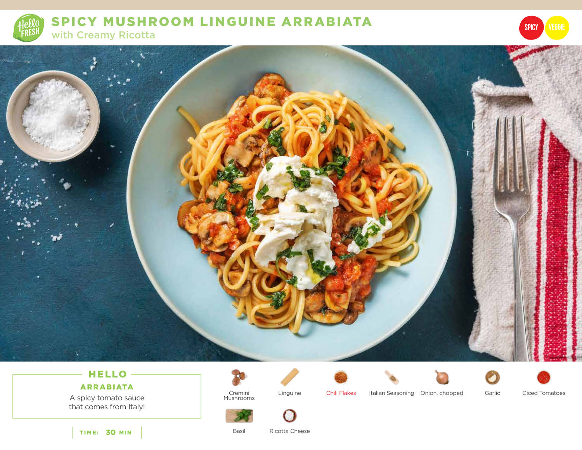

SPICY MUSHROOM LINGUINE ARRABIATA with Creamy Ricotta



# HELLO-

# ARRABIATA

A spicy tomato sauce that comes from Italy!









SPICY

Cremini Mushrooms

Linguine Chili Flakes Italian Seasoning Onion, chopped Garlic Diced Tomatoes



Basil

Ricotta Cheese